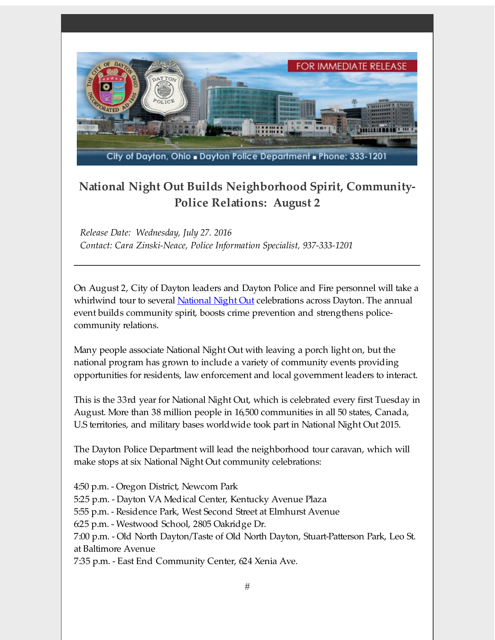

## **National Night Out Builds Neighborhood Spirit, Community-Police Relations: August 2**

*Release Date: Wednesday, July 27. 2016 Contact: Cara Zinski-Neace, Police Information Specialist, 937-333-1201*

On August 2, City of Dayton leaders and Dayton Police and Fire personnel will take a whirlwind tour to several [National](http://r20.rs6.net/tn.jsp?f=001aKrRA58_mYsJ9qNUmVuafeKXzFJXG_EcDdcsvEpVRQ2cncopQ51QWRNEzQb00hcA4bL0z2H68Oj6ghDLmcrLHYtkiAVL_s0a9aNat_SNEQ4ks7B4Jqg91mkhlIDU9GK4_89DhOANqPiCy2wG1HnfOd91_wmFTCgpp1oZ0qxkbs8=&c=&ch=) Night Out celebrations across Dayton. The annual event builds community spirit, boosts crime prevention and strengthens policecommunity relations.

Many people associate National Night Out with leaving a porch light on, but the national program has grown to include a variety of community events providing opportunities for residents, law enforcement and local government leaders to interact.

This is the 33rd year for National Night Out, which is celebrated every first Tuesday in August. More than 38 million people in 16,500 communities in all 50 states, Canada, U.S territories, and military bases worldwide took part in National Night Out 2015.

The Dayton Police Department will lead the neighborhood tour caravan, which will make stops at six National Night Out community celebrations:

4:50 p.m. - Oregon District, Newcom Park 5:25 p.m. - Dayton VA Medical Center, Kentucky Avenue Plaza 5:55 p.m. - Residence Park, West Second Street at Elmhurst Avenue 6:25 p.m. - Westwood School, 2805 Oakridge Dr. 7:00 p.m. - Old North Dayton/Taste of Old North Dayton, Stuart-Patterson Park, Leo St. at Baltimore Avenue

7:35 p.m. - East End Community Center, 624 Xenia Ave.